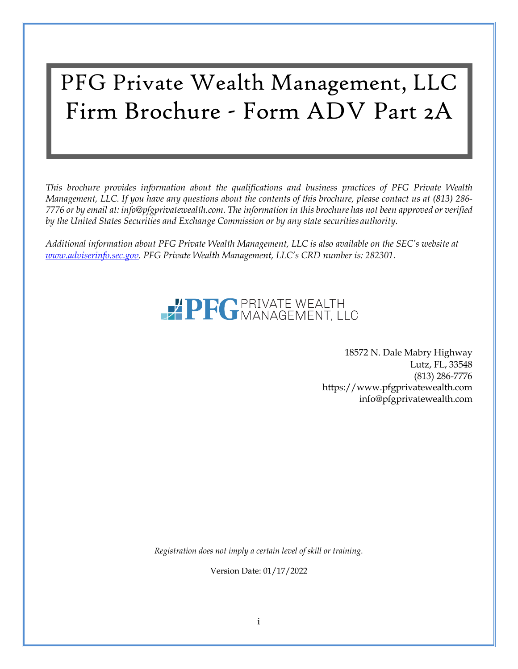# PFG Private Wealth Management, LLC Firm Brochure - Form ADV Part 2A

*This brochure provides information about the qualifications and business practices of PFG Private Wealth Management, LLC. If you have any questions about the contents of this brochure, please contact us at (813) 286* 7776 or by email at: [info@pfgprivatewealth.com.](mailto:info@pfgprivatewealth.com) The information in this brochure has not been approved or verified *by the United States Securities and Exchange Commission or by any state securities authority.*

*Additional information about PFG Private Wealth Management, LLC is also available on the SEC's website at [www.adviserinfo.sec.gov.](http://www.adviserinfo.sec.gov/) PFG Private Wealth Management, LLC's CRD number is: 282301*.

# **PRO PRIVATE WEALTH**

18572 N. Dale Mabry Highway Lutz, FL, 33548 (813) 286-7776 https:[//www.pfgprivatewealth.com](http://www.pfgprivatewealth.com/) [info@pfgprivatewealth.com](mailto:info@pfgprivatewealth.com)

*Registration does not imply a certain level of skill or training.*

Version Date: 01/17/2022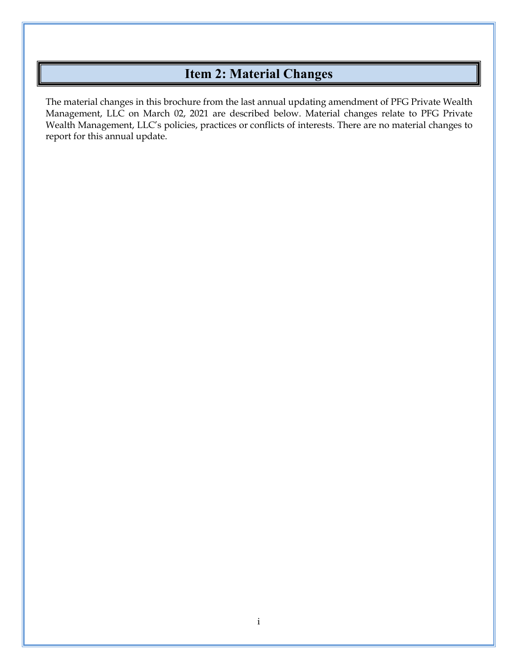# **Item 2: Material Changes**

<span id="page-1-0"></span>The material changes in this brochure from the last annual updating amendment of PFG Private Wealth Management, LLC on March 02, 2021 are described below. Material changes relate to PFG Private Wealth Management, LLC's policies, practices or conflicts of interests. There are no material changes to report for this annual update.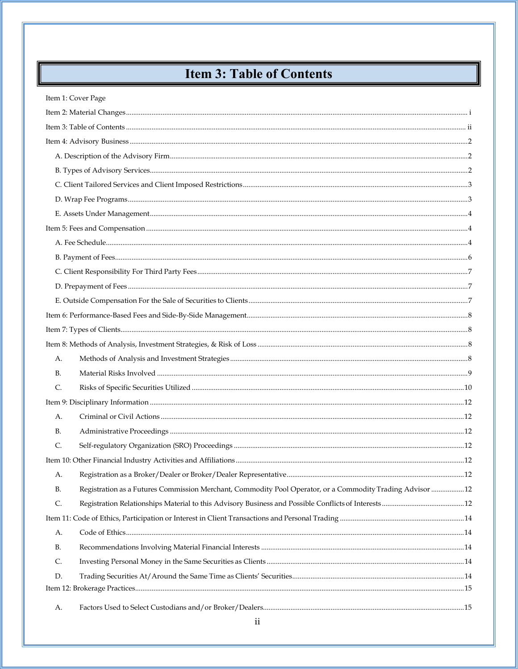# **Item 3: Table of Contents**

<span id="page-2-0"></span>

|           | Item 1: Cover Page                                                                                        |  |
|-----------|-----------------------------------------------------------------------------------------------------------|--|
|           |                                                                                                           |  |
|           |                                                                                                           |  |
|           |                                                                                                           |  |
|           |                                                                                                           |  |
|           |                                                                                                           |  |
|           |                                                                                                           |  |
|           |                                                                                                           |  |
|           |                                                                                                           |  |
|           |                                                                                                           |  |
|           |                                                                                                           |  |
|           |                                                                                                           |  |
|           |                                                                                                           |  |
|           |                                                                                                           |  |
|           |                                                                                                           |  |
|           |                                                                                                           |  |
|           |                                                                                                           |  |
|           |                                                                                                           |  |
| A.        |                                                                                                           |  |
| B.        |                                                                                                           |  |
| C.        |                                                                                                           |  |
|           |                                                                                                           |  |
| А.        |                                                                                                           |  |
| <b>B.</b> |                                                                                                           |  |
| C.        |                                                                                                           |  |
|           |                                                                                                           |  |
| А.        |                                                                                                           |  |
| В.        | Registration as a Futures Commission Merchant, Commodity Pool Operator, or a Commodity Trading Advisor 12 |  |
| C.        |                                                                                                           |  |
|           |                                                                                                           |  |
| A.        |                                                                                                           |  |
| <b>B.</b> |                                                                                                           |  |
| C.        |                                                                                                           |  |
| D.        |                                                                                                           |  |
|           |                                                                                                           |  |
| А.        |                                                                                                           |  |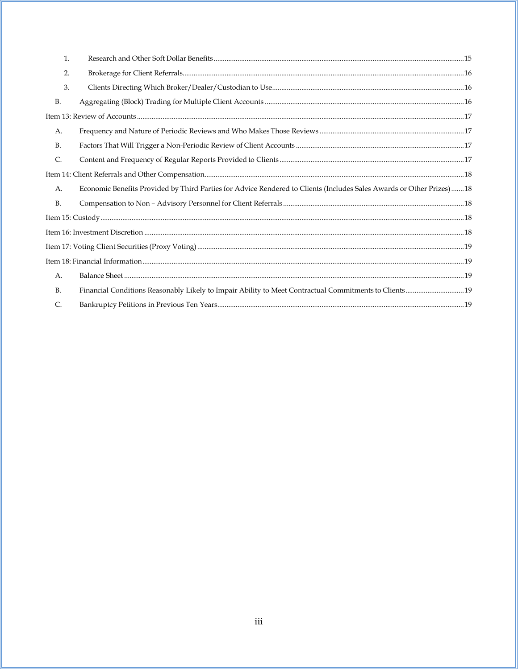| 1.        |                                                                                                                      |  |
|-----------|----------------------------------------------------------------------------------------------------------------------|--|
| 2.        |                                                                                                                      |  |
| 3.        |                                                                                                                      |  |
| <b>B.</b> |                                                                                                                      |  |
|           |                                                                                                                      |  |
| А.        |                                                                                                                      |  |
| <b>B.</b> |                                                                                                                      |  |
| C.        |                                                                                                                      |  |
|           |                                                                                                                      |  |
| А.        | Economic Benefits Provided by Third Parties for Advice Rendered to Clients (Includes Sales Awards or Other Prizes)18 |  |
| <b>B.</b> |                                                                                                                      |  |
|           |                                                                                                                      |  |
|           |                                                                                                                      |  |
|           |                                                                                                                      |  |
|           |                                                                                                                      |  |
| A.        |                                                                                                                      |  |
| <b>B.</b> |                                                                                                                      |  |
| C.        |                                                                                                                      |  |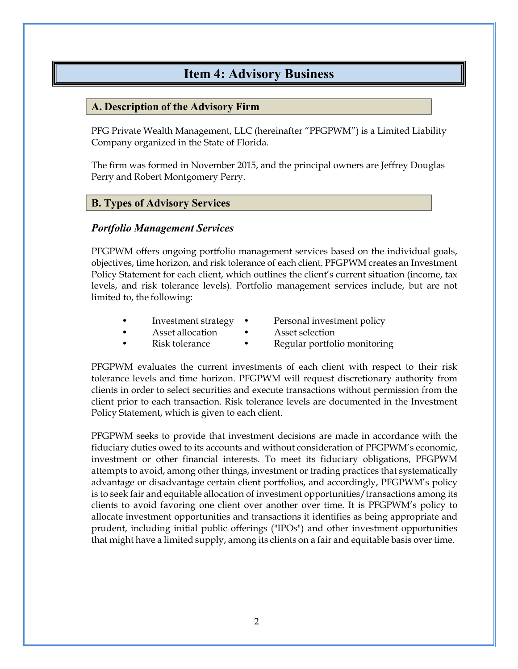## **Item 4: Advisory Business**

#### <span id="page-4-1"></span><span id="page-4-0"></span>**A. Description of the Advisory Firm**

PFG Private Wealth Management, LLC (hereinafter "PFGPWM") is a Limited Liability Company organized in the State of Florida.

The firm was formed in November 2015, and the principal owners are Jeffrey Douglas Perry and Robert Montgomery Perry.

#### <span id="page-4-2"></span>**B. Types of Advisory Services**

#### *Portfolio Management Services*

PFGPWM offers ongoing portfolio management services based on the individual goals, objectives, time horizon, and risk tolerance of each client. PFGPWM creates an Investment Policy Statement for each client, which outlines the client's current situation (income, tax levels, and risk tolerance levels). Portfolio management services include, but are not limited to, the following:

- Investment strategy Personal investment policy
	-
- Asset allocation Asset selection
	- Risk tolerance Regular portfolio monitoring

PFGPWM evaluates the current investments of each client with respect to their risk tolerance levels and time horizon. PFGPWM will request discretionary authority from clients in order to select securities and execute transactions without permission from the client prior to each transaction. Risk tolerance levels are documented in the Investment Policy Statement, which is given to each client.

PFGPWM seeks to provide that investment decisions are made in accordance with the fiduciary duties owed to its accounts and without consideration of PFGPWM's economic, investment or other financial interests. To meet its fiduciary obligations, PFGPWM attempts to avoid, among other things, investment or trading practices that systematically advantage or disadvantage certain client portfolios, and accordingly, PFGPWM's policy is to seek fair and equitable allocation of investment opportunities/transactions among its clients to avoid favoring one client over another over time. It is PFGPWM's policy to allocate investment opportunities and transactions it identifies as being appropriate and prudent, including initial public offerings ("IPOs") and other investment opportunities that might have a limited supply, among its clients on a fair and equitable basis over time.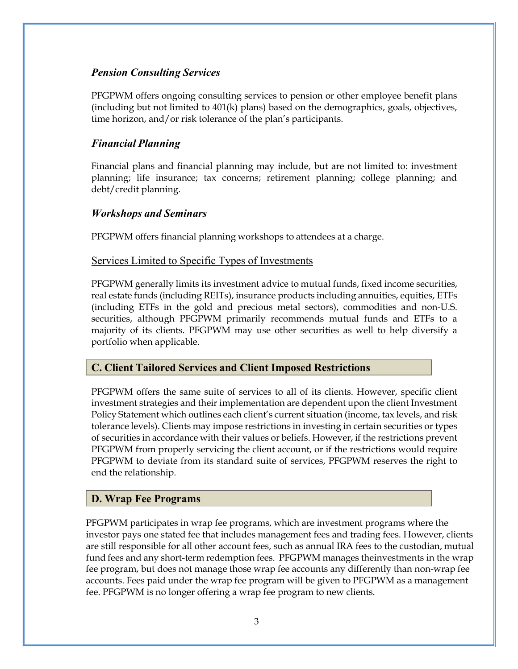#### *Pension Consulting Services*

PFGPWM offers ongoing consulting services to pension or other employee benefit plans (including but not limited to 401(k) plans) based on the demographics, goals, objectives, time horizon, and/or risk tolerance of the plan's participants.

#### *Financial Planning*

Financial plans and financial planning may include, but are not limited to: investment planning; life insurance; tax concerns; retirement planning; college planning; and debt/credit planning.

#### *Workshops and Seminars*

PFGPWM offers financial planning workshops to attendees at a charge.

#### Services Limited to Specific Types of Investments

PFGPWM generally limits its investment advice to mutual funds, fixed income securities, real estate funds (including REITs), insurance products including annuities, equities, ETFs (including ETFs in the gold and precious metal sectors), commodities and non-U.S. securities, although PFGPWM primarily recommends mutual funds and ETFs to a majority of its clients. PFGPWM may use other securities as well to help diversify a portfolio when applicable.

#### <span id="page-5-0"></span>**C. Client Tailored Services and Client Imposed Restrictions**

PFGPWM offers the same suite of services to all of its clients. However, specific client investment strategies and their implementation are dependent upon the client Investment Policy Statement which outlines each client's current situation (income, tax levels, and risk tolerance levels). Clients may impose restrictions in investing in certain securities or types of securities in accordance with their values or beliefs. However, if the restrictions prevent PFGPWM from properly servicing the client account, or if the restrictions would require PFGPWM to deviate from its standard suite of services, PFGPWM reserves the right to end the relationship.

#### <span id="page-5-1"></span>**D. Wrap Fee Programs**

PFGPWM participates in wrap fee programs, which are investment programs where the investor pays one stated fee that includes management fees and trading fees. However, clients are still responsible for all other account fees, such as annual IRA fees to the custodian, mutual fund fees and any short-term redemption fees. PFGPWM manages theinvestments in the wrap fee program, but does not manage those wrap fee accounts any differently than non-wrap fee accounts. Fees paid under the wrap fee program will be given to PFGPWM as a management fee. PFGPWM is no longer offering a wrap fee program to new clients.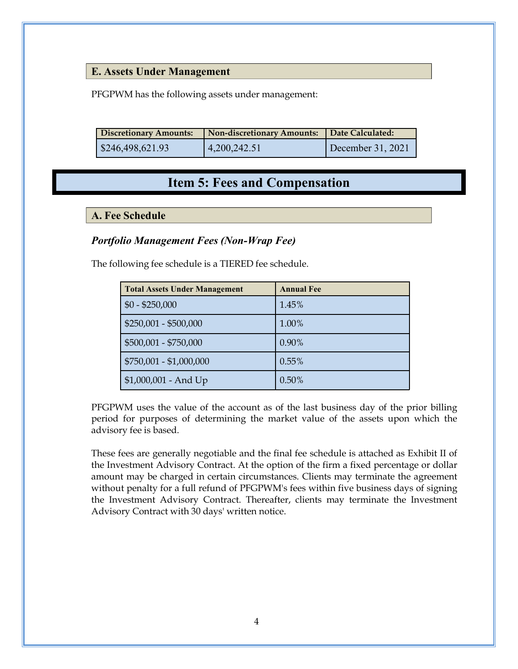#### <span id="page-6-0"></span>**E. Assets Under Management**

PFGPWM has the following assets under management:

| <b>Discretionary Amounts:</b> | <b>Non-discretionary Amounts:</b> | Date Calculated:  |
|-------------------------------|-----------------------------------|-------------------|
| $\frac{$246,498,621.93}{}$    | 4,200,242.51                      | December 31, 2021 |

### **Item 5: Fees and Compensation**

#### <span id="page-6-2"></span><span id="page-6-1"></span>**A. Fee Schedule**

#### *Portfolio Management Fees (Non-Wrap Fee)*

The following fee schedule is a TIERED fee schedule.

| <b>Total Assets Under Management</b> | <b>Annual Fee</b> |
|--------------------------------------|-------------------|
| $$0 - $250,000$                      | 1.45%             |
| $$250,001 - $500,000$                | 1.00%             |
| \$500,001 - \$750,000                | 0.90%             |
| \$750,001 - \$1,000,000              | 0.55%             |
| \$1,000,001 - And Up                 | 0.50%             |

PFGPWM uses the value of the account as of the last business day of the prior billing period for purposes of determining the market value of the assets upon which the advisory fee is based.

These fees are generally negotiable and the final fee schedule is attached as Exhibit II of the Investment Advisory Contract. At the option of the firm a fixed percentage or dollar amount may be charged in certain circumstances. Clients may terminate the agreement without penalty for a full refund of PFGPWM's fees within five business days of signing the Investment Advisory Contract. Thereafter, clients may terminate the Investment Advisory Contract with 30 days' written notice.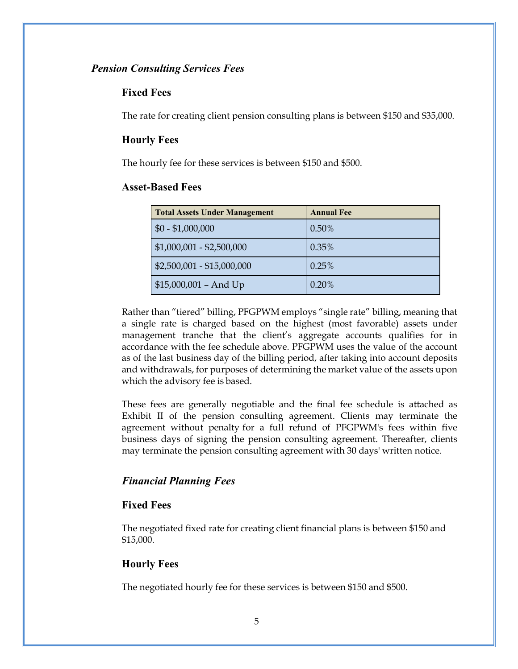#### *Pension Consulting Services Fees*

#### **Fixed Fees**

The rate for creating client pension consulting plans is between \$150 and \$35,000.

#### **Hourly Fees**

The hourly fee for these services is between \$150 and \$500.

#### **Asset-Based Fees**

| <b>Total Assets Under Management</b> | <b>Annual Fee</b> |
|--------------------------------------|-------------------|
| $$0 - $1,000,000$                    | $0.50\%$          |
| $$1,000,001 - $2,500,000$            | 0.35%             |
| \$2,500,001 - \$15,000,000           | 0.25%             |
| $$15,000,001 - And Up$               | 0.20%             |

Rather than "tiered" billing, PFGPWM employs "single rate" billing, meaning that a single rate is charged based on the highest (most favorable) assets under management tranche that the client's aggregate accounts qualifies for in accordance with the fee schedule above. PFGPWM uses the value of the account as of the last business day of the billing period, after taking into account deposits and withdrawals, for purposes of determining the market value of the assets upon which the advisory fee is based.

These fees are generally negotiable and the final fee schedule is attached as Exhibit II of the pension consulting agreement. Clients may terminate the agreement without penalty for a full refund of PFGPWM's fees within five business days of signing the pension consulting agreement. Thereafter, clients may terminate the pension consulting agreement with 30 days' written notice.

#### *Financial Planning Fees*

#### **Fixed Fees**

The negotiated fixed rate for creating client financial plans is between \$150 and \$15,000.

#### **Hourly Fees**

The negotiated hourly fee for these services is between \$150 and \$500.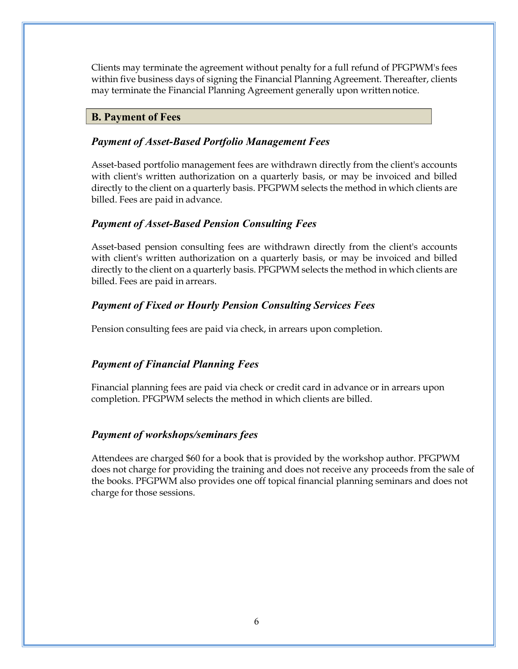Clients may terminate the agreement without penalty for a full refund of PFGPWM's fees within five business days of signing the Financial Planning Agreement. Thereafter, clients may terminate the Financial Planning Agreement generally upon written notice.

#### <span id="page-8-0"></span>**B. Payment of Fees**

#### *Payment of Asset-Based Portfolio Management Fees*

Asset-based portfolio management fees are withdrawn directly from the client's accounts with client's written authorization on a quarterly basis, or may be invoiced and billed directly to the client on a quarterly basis. PFGPWM selects the method in which clients are billed. Fees are paid in advance.

#### *Payment of Asset-Based Pension Consulting Fees*

Asset-based pension consulting fees are withdrawn directly from the client's accounts with client's written authorization on a quarterly basis, or may be invoiced and billed directly to the client on a quarterly basis. PFGPWM selects the method in which clients are billed. Fees are paid in arrears.

### *Payment of Fixed or Hourly Pension Consulting Services Fees*

Pension consulting fees are paid via check, in arrears upon completion.

### *Payment of Financial Planning Fees*

Financial planning fees are paid via check or credit card in advance or in arrears upon completion. PFGPWM selects the method in which clients are billed.

### *Payment of workshops/seminars fees*

Attendees are charged \$60 for a book that is provided by the workshop author. PFGPWM does not charge for providing the training and does not receive any proceeds from the sale of the books. PFGPWM also provides one off topical financial planning seminars and does not charge for those sessions.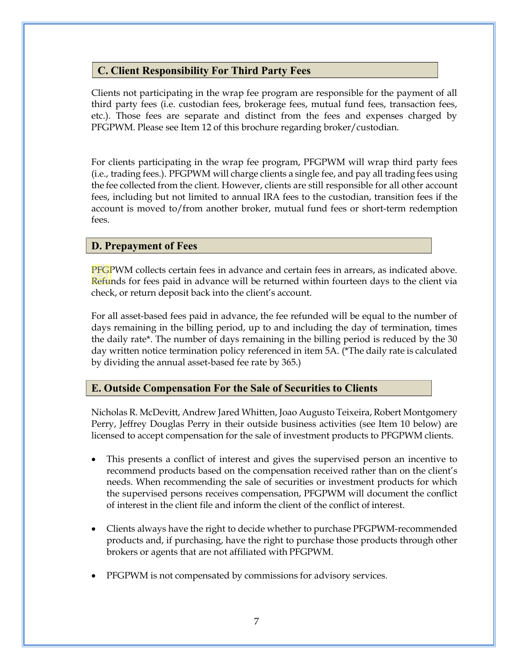#### <span id="page-9-0"></span>**C. Client Responsibility For Third Party Fees**

Clients not participating in the wrap fee program are responsible for the payment of all third party fees (i.e. custodian fees, brokerage fees, mutual fund fees, transaction fees, etc.). Those fees are separate and distinct from the fees and expenses charged by PFGPWM. Please see Item 12 of this brochure regarding broker/custodian.

For clients participating in the wrap fee program, PFGPWM will wrap third party fees (i.e., trading fees.). PFGPWM will charge clients a single fee, and pay all trading fees using the fee collected from the client. However, clients are still responsible for all other account fees, including but not limited to annual IRA fees to the custodian, transition fees if the account is moved to/from another broker, mutual fund fees or short-term redemption fees.

#### <span id="page-9-1"></span>**D. Prepayment of Fees**

PFGPWM collects certain fees in advance and certain fees in arrears, as indicated above. Refunds for fees paid in advance will be returned within fourteen days to the client via check, or return deposit back into the client's account.

For all asset-based fees paid in advance, the fee refunded will be equal to the number of days remaining in the billing period, up to and including the day of termination, times the daily rate\*. The number of days remaining in the billing period is reduced by the 30 day written notice termination policy referenced in item 5A. (\*The daily rate is calculated by dividing the annual asset-based fee rate by 365.)

#### <span id="page-9-2"></span>**E. Outside Compensation For the Sale of Securities to Clients**

Nicholas R. McDevitt, Andrew Jared Whitten, Joao Augusto Teixeira, Robert Montgomery Perry, Jeffrey Douglas Perry in their outside business activities (see Item 10 below) are licensed to accept compensation for the sale of investment products to PFGPWM clients.

- This presents a conflict of interest and gives the supervised person an incentive to recommend products based on the compensation received rather than on the client's needs. When recommending the sale of securities or investment products for which the supervised persons receives compensation, PFGPWM will document the conflict of interest in the client file and inform the client of the conflict of interest.
- Clients always have the right to decide whether to purchase PFGPWM-recommended products and, if purchasing, have the right to purchase those products through other brokers or agents that are not affiliated with PFGPWM.
- PFGPWM is not compensated by commissions for advisory services.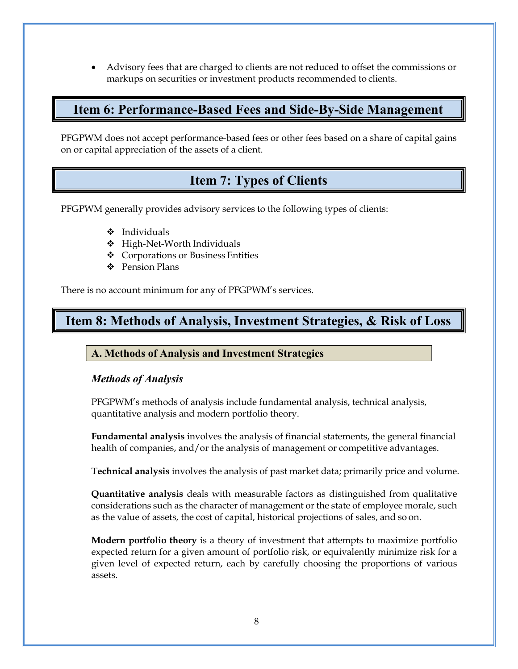• Advisory fees that are charged to clients are not reduced to offset the commissions or markups on securities or investment products recommended to clients.

### <span id="page-10-0"></span>**Item 6: Performance-Based Fees and Side-By-Side Management**

PFGPWM does not accept performance-based fees or other fees based on a share of capital gains on or capital appreciation of the assets of a client.

# **Item 7: Types of Clients**

<span id="page-10-1"></span>PFGPWM generally provides advisory services to the following types of clients:

- $\div$  Individuals
- High-Net-Worth Individuals
- Corporations or Business Entities
- ❖ Pension Plans

There is no account minimum for any of PFGPWM's services.

# <span id="page-10-2"></span>**Item 8: Methods of Analysis, Investment Strategies, & Risk of Loss**

#### <span id="page-10-3"></span>**A. Methods of Analysis and Investment Strategies**

#### *Methods of Analysis*

PFGPWM's methods of analysis include fundamental analysis, technical analysis, quantitative analysis and modern portfolio theory.

**Fundamental analysis** involves the analysis of financial statements, the general financial health of companies, and/or the analysis of management or competitive advantages.

**Technical analysis** involves the analysis of past market data; primarily price and volume.

**Quantitative analysis** deals with measurable factors as distinguished from qualitative considerations such as the character of management or the state of employee morale, such as the value of assets, the cost of capital, historical projections of sales, and so on.

**Modern portfolio theory** is a theory of investment that attempts to maximize portfolio expected return for a given amount of portfolio risk, or equivalently minimize risk for a given level of expected return, each by carefully choosing the proportions of various assets.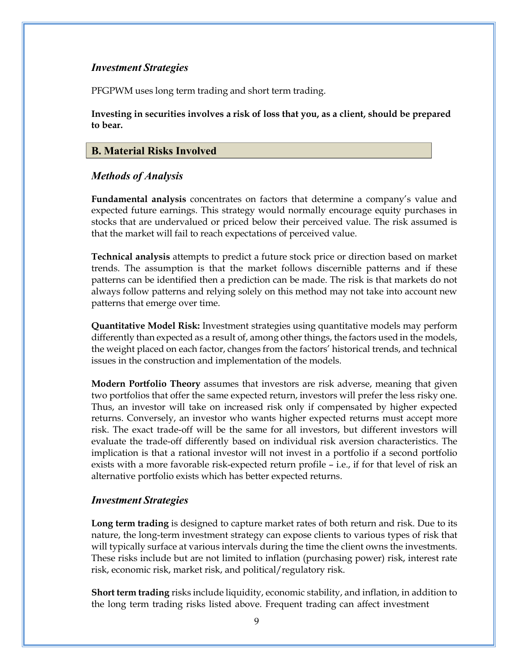#### *Investment Strategies*

PFGPWM uses long term trading and short term trading.

**Investing in securities involves a risk of loss that you, as a client, should be prepared to bear.**

#### <span id="page-11-0"></span>**B. Material Risks Involved**

#### *Methods of Analysis*

**Fundamental analysis** concentrates on factors that determine a company's value and expected future earnings. This strategy would normally encourage equity purchases in stocks that are undervalued or priced below their perceived value. The risk assumed is that the market will fail to reach expectations of perceived value.

**Technical analysis** attempts to predict a future stock price or direction based on market trends. The assumption is that the market follows discernible patterns and if these patterns can be identified then a prediction can be made. The risk is that markets do not always follow patterns and relying solely on this method may not take into account new patterns that emerge over time.

**Quantitative Model Risk:** Investment strategies using quantitative models may perform differently than expected as a result of, among other things, the factors used in the models, the weight placed on each factor, changes from the factors' historical trends, and technical issues in the construction and implementation of the models.

**Modern Portfolio Theory** assumes that investors are risk adverse, meaning that given two portfolios that offer the same expected return, investors will prefer the less risky one. Thus, an investor will take on increased risk only if compensated by higher expected returns. Conversely, an investor who wants higher expected returns must accept more risk. The exact trade-off will be the same for all investors, but different investors will evaluate the trade-off differently based on individual risk aversion characteristics. The implication is that a rational investor will not invest in a portfolio if a second portfolio exists with a more favorable risk-expected return profile – i.e., if for that level of risk an alternative portfolio exists which has better expected returns.

#### *Investment Strategies*

**Long term trading** is designed to capture market rates of both return and risk. Due to its nature, the long-term investment strategy can expose clients to various types of risk that will typically surface at various intervals during the time the client owns the investments. These risks include but are not limited to inflation (purchasing power) risk, interest rate risk, economic risk, market risk, and political/regulatory risk.

**Short term trading** risks include liquidity, economic stability, and inflation, in addition to the long term trading risks listed above. Frequent trading can affect investment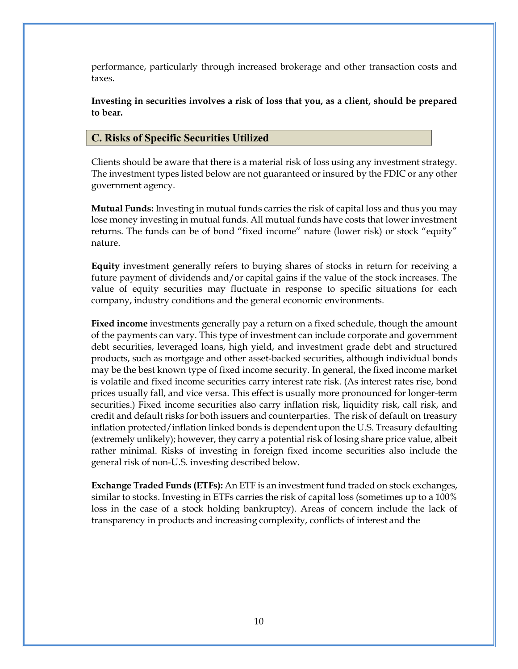performance, particularly through increased brokerage and other transaction costs and taxes.

**Investing in securities involves a risk of loss that you, as a client, should be prepared to bear.**

#### <span id="page-12-0"></span>**C. Risks of Specific Securities Utilized**

Clients should be aware that there is a material risk of loss using any investment strategy. The investment types listed below are not guaranteed or insured by the FDIC or any other government agency.

**Mutual Funds:** Investing in mutual funds carries the risk of capital loss and thus you may lose money investing in mutual funds. All mutual funds have costs that lower investment returns. The funds can be of bond "fixed income" nature (lower risk) or stock "equity" nature.

**Equity** investment generally refers to buying shares of stocks in return for receiving a future payment of dividends and/or capital gains if the value of the stock increases. The value of equity securities may fluctuate in response to specific situations for each company, industry conditions and the general economic environments.

**Fixed income** investments generally pay a return on a fixed schedule, though the amount of the payments can vary. This type of investment can include corporate and government debt securities, leveraged loans, high yield, and investment grade debt and structured products, such as mortgage and other asset-backed securities, although individual bonds may be the best known type of fixed income security. In general, the fixed income market is volatile and fixed income securities carry interest rate risk. (As interest rates rise, bond prices usually fall, and vice versa. This effect is usually more pronounced for longer-term securities.) Fixed income securities also carry inflation risk, liquidity risk, call risk, and credit and default risks for both issuers and counterparties. The risk of default on treasury inflation protected/inflation linked bonds is dependent upon the U.S. Treasury defaulting (extremely unlikely); however, they carry a potential risk of losing share price value, albeit rather minimal. Risks of investing in foreign fixed income securities also include the general risk of non-U.S. investing described below.

**Exchange Traded Funds (ETFs):** An ETF is an investment fund traded on stock exchanges, similar to stocks. Investing in ETFs carries the risk of capital loss (sometimes up to a 100% loss in the case of a stock holding bankruptcy). Areas of concern include the lack of transparency in products and increasing complexity, conflicts of interest and the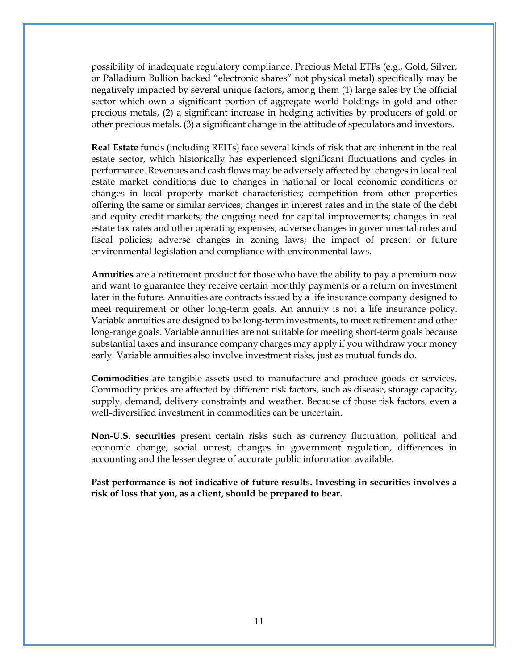possibility of inadequate regulatory compliance. Precious Metal ETFs (e.g., Gold, Silver, or Palladium Bullion backed "electronic shares" not physical metal) specifically may be negatively impacted by several unique factors, among them (1) large sales by the official sector which own a significant portion of aggregate world holdings in gold and other precious metals, (2) a significant increase in hedging activities by producers of gold or other precious metals, (3) a significant change in the attitude of speculators and investors.

**Real Estate** funds (including REITs) face several kinds of risk that are inherent in the real estate sector, which historically has experienced significant fluctuations and cycles in performance. Revenues and cash flows may be adversely affected by: changes in local real estate market conditions due to changes in national or local economic conditions or changes in local property market characteristics; competition from other properties offering the same or similar services; changes in interest rates and in the state of the debt and equity credit markets; the ongoing need for capital improvements; changes in real estate tax rates and other operating expenses; adverse changes in governmental rules and fiscal policies; adverse changes in zoning laws; the impact of present or future environmental legislation and compliance with environmental laws.

**Annuities** are a retirement product for those who have the ability to pay a premium now and want to guarantee they receive certain monthly payments or a return on investment later in the future. Annuities are contracts issued by a life insurance company designed to meet requirement or other long-term goals. An annuity is not a life insurance policy. Variable annuities are designed to be long-term investments, to meet retirement and other long-range goals. Variable annuities are not suitable for meeting short-term goals because substantial taxes and insurance company charges may apply if you withdraw your money early. Variable annuities also involve investment risks, just as mutual funds do.

**Commodities** are tangible assets used to manufacture and produce goods or services. Commodity prices are affected by different risk factors, such as disease, storage capacity, supply, demand, delivery constraints and weather. Because of those risk factors, even a well-diversified investment in commodities can be uncertain.

**Non-U.S. securities** present certain risks such as currency fluctuation, political and economic change, social unrest, changes in government regulation, differences in accounting and the lesser degree of accurate public information available.

**Past performance is not indicative of future results. Investing in securities involves a risk of loss that you, as a client, should be prepared to bear.**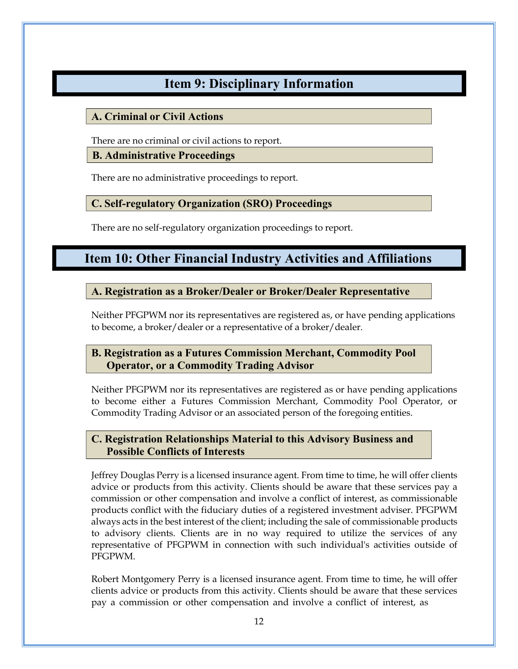# **Item 9: Disciplinary Information**

### <span id="page-14-1"></span><span id="page-14-0"></span>**A. Criminal or Civil Actions**

There are no criminal or civil actions to report.

#### <span id="page-14-2"></span>**B. Administrative Proceedings**

There are no administrative proceedings to report.

### <span id="page-14-3"></span>**C. Self-regulatory Organization (SRO) Proceedings**

There are no self-regulatory organization proceedings to report.

# <span id="page-14-4"></span>**Item 10: Other Financial Industry Activities and Affiliations**

### <span id="page-14-5"></span>**A. Registration as a Broker/Dealer or Broker/Dealer Representative**

Neither PFGPWM nor its representatives are registered as, or have pending applications to become, a broker/dealer or a representative of a broker/dealer.

### <span id="page-14-6"></span>**B. Registration as a Futures Commission Merchant, Commodity Pool Operator, or a Commodity Trading Advisor**

Neither PFGPWM nor its representatives are registered as or have pending applications to become either a Futures Commission Merchant, Commodity Pool Operator, or Commodity Trading Advisor or an associated person of the foregoing entities.

### <span id="page-14-7"></span>**C. Registration Relationships Material to this Advisory Business and Possible Conflicts of Interests**

Jeffrey Douglas Perry is a licensed insurance agent. From time to time, he will offer clients advice or products from this activity. Clients should be aware that these services pay a commission or other compensation and involve a conflict of interest, as commissionable products conflict with the fiduciary duties of a registered investment adviser. PFGPWM always acts in the best interest of the client; including the sale of commissionable products to advisory clients. Clients are in no way required to utilize the services of any representative of PFGPWM in connection with such individual's activities outside of PFGPWM.

Robert Montgomery Perry is a licensed insurance agent. From time to time, he will offer clients advice or products from this activity. Clients should be aware that these services pay a commission or other compensation and involve a conflict of interest, as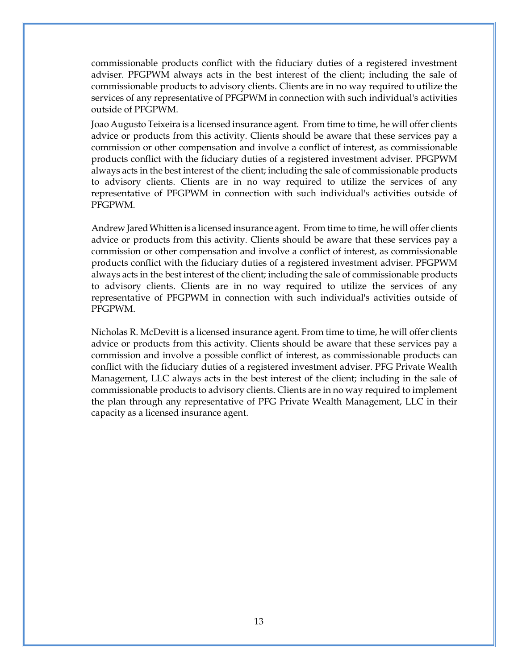commissionable products conflict with the fiduciary duties of a registered investment adviser. PFGPWM always acts in the best interest of the client; including the sale of commissionable products to advisory clients. Clients are in no way required to utilize the services of any representative of PFGPWM in connection with such individual's activities outside of PFGPWM.

Joao Augusto Teixeira is a licensed insurance agent. From time to time, he will offer clients advice or products from this activity. Clients should be aware that these services pay a commission or other compensation and involve a conflict of interest, as commissionable products conflict with the fiduciary duties of a registered investment adviser. PFGPWM always acts in the best interest of the client; including the sale of commissionable products to advisory clients. Clients are in no way required to utilize the services of any representative of PFGPWM in connection with such individual's activities outside of PFGPWM.

Andrew JaredWhitten is a licensed insurance agent. From time to time, he will offer clients advice or products from this activity. Clients should be aware that these services pay a commission or other compensation and involve a conflict of interest, as commissionable products conflict with the fiduciary duties of a registered investment adviser. PFGPWM always acts in the best interest of the client; including the sale of commissionable products to advisory clients. Clients are in no way required to utilize the services of any representative of PFGPWM in connection with such individual's activities outside of PFGPWM.

Nicholas R. McDevitt is a licensed insurance agent. From time to time, he will offer clients advice or products from this activity. Clients should be aware that these services pay a commission and involve a possible conflict of interest, as commissionable products can conflict with the fiduciary duties of a registered investment adviser. PFG Private Wealth Management, LLC always acts in the best interest of the client; including in the sale of commissionable products to advisory clients. Clients are in no way required to implement the plan through any representative of PFG Private Wealth Management, LLC in their capacity as a licensed insurance agent.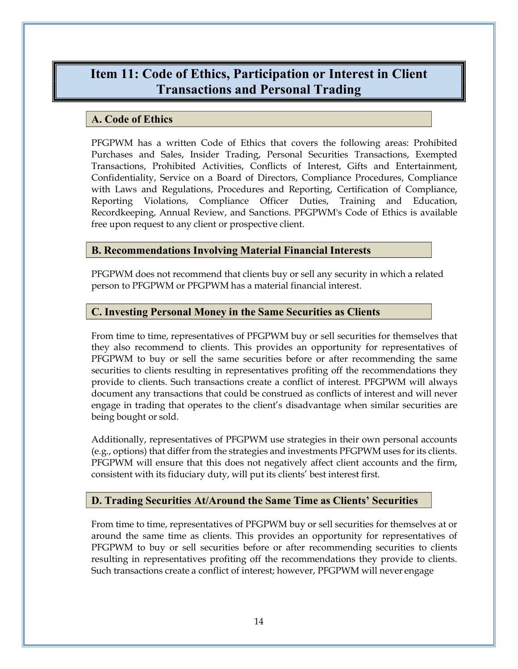## <span id="page-16-0"></span>**Item 11: Code of Ethics, Participation or Interest in Client Transactions and Personal Trading**

#### <span id="page-16-1"></span>**A. Code of Ethics**

PFGPWM has a written Code of Ethics that covers the following areas: Prohibited Purchases and Sales, Insider Trading, Personal Securities Transactions, Exempted Transactions, Prohibited Activities, Conflicts of Interest, Gifts and Entertainment, Confidentiality, Service on a Board of Directors, Compliance Procedures, Compliance with Laws and Regulations, Procedures and Reporting, Certification of Compliance, Reporting Violations, Compliance Officer Duties, Training and Education, Recordkeeping, Annual Review, and Sanctions. PFGPWM's Code of Ethics is available free upon request to any client or prospective client.

#### <span id="page-16-2"></span>**B. Recommendations Involving Material Financial Interests**

PFGPWM does not recommend that clients buy or sell any security in which a related person to PFGPWM or PFGPWM has a material financial interest.

#### <span id="page-16-3"></span>**C. Investing Personal Money in the Same Securities as Clients**

From time to time, representatives of PFGPWM buy or sell securities for themselves that they also recommend to clients. This provides an opportunity for representatives of PFGPWM to buy or sell the same securities before or after recommending the same securities to clients resulting in representatives profiting off the recommendations they provide to clients. Such transactions create a conflict of interest. PFGPWM will always document any transactions that could be construed as conflicts of interest and will never engage in trading that operates to the client's disadvantage when similar securities are being bought or sold.

Additionally, representatives of PFGPWM use strategies in their own personal accounts (e.g., options) that differ from the strategies and investments PFGPWM uses for its clients. PFGPWM will ensure that this does not negatively affect client accounts and the firm, consistent with its fiduciary duty, will put its clients' best interest first.

#### <span id="page-16-4"></span>**D. Trading Securities At/Around the Same Time as Clients' Securities**

From time to time, representatives of PFGPWM buy or sell securities for themselves at or around the same time as clients. This provides an opportunity for representatives of PFGPWM to buy or sell securities before or after recommending securities to clients resulting in representatives profiting off the recommendations they provide to clients. Such transactions create a conflict of interest; however, PFGPWM will never engage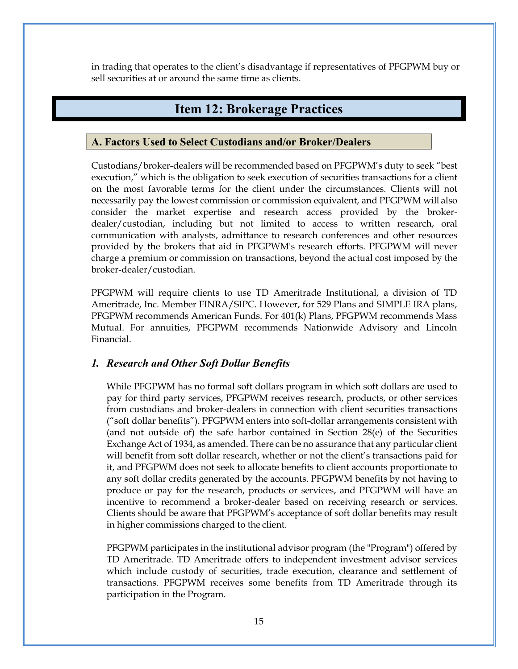in trading that operates to the client's disadvantage if representatives of PFGPWM buy or sell securities at or around the same time as clients.

### **Item 12: Brokerage Practices**

#### <span id="page-17-1"></span><span id="page-17-0"></span>**A. Factors Used to Select Custodians and/or Broker/Dealers**

Custodians/broker-dealers will be recommended based on PFGPWM's duty to seek "best execution," which is the obligation to seek execution of securities transactions for a client on the most favorable terms for the client under the circumstances. Clients will not necessarily pay the lowest commission or commission equivalent, and PFGPWM will also consider the market expertise and research access provided by the brokerdealer/custodian, including but not limited to access to written research, oral communication with analysts, admittance to research conferences and other resources provided by the brokers that aid in PFGPWM's research efforts. PFGPWM will never charge a premium or commission on transactions, beyond the actual cost imposed by the broker-dealer/custodian.

PFGPWM will require clients to use TD Ameritrade Institutional, a division of TD Ameritrade, Inc. Member FINRA/SIPC. However, for 529 Plans and SIMPLE IRA plans, PFGPWM recommends American Funds. For 401(k) Plans, PFGPWM recommends Mass Mutual. For annuities, PFGPWM recommends Nationwide Advisory and Lincoln Financial.

#### <span id="page-17-2"></span>*1. Research and Other Soft Dollar Benefits*

While PFGPWM has no formal soft dollars program in which soft dollars are used to pay for third party services, PFGPWM receives research, products, or other services from custodians and broker-dealers in connection with client securities transactions ("soft dollar benefits"). PFGPWM enters into soft-dollar arrangements consistent with (and not outside of) the safe harbor contained in Section 28(e) of the Securities Exchange Act of 1934, as amended. There can be no assurance that any particular client will benefit from soft dollar research, whether or not the client's transactions paid for it, and PFGPWM does not seek to allocate benefits to client accounts proportionate to any soft dollar credits generated by the accounts. PFGPWM benefits by not having to produce or pay for the research, products or services, and PFGPWM will have an incentive to recommend a broker-dealer based on receiving research or services. Clients should be aware that PFGPWM's acceptance of soft dollar benefits may result in higher commissions charged to the client.

PFGPWM participates in the institutional advisor program (the "Program") offered by TD Ameritrade. TD Ameritrade offers to independent investment advisor services which include custody of securities, trade execution, clearance and settlement of transactions. PFGPWM receives some benefits from TD Ameritrade through its participation in the Program.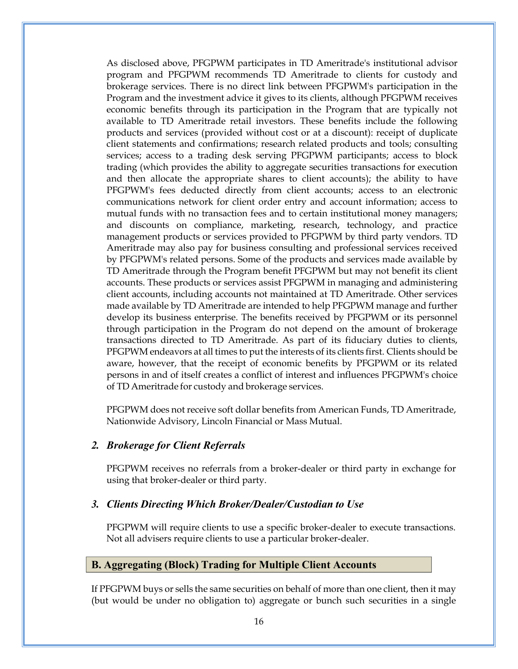As disclosed above, PFGPWM participates in TD Ameritrade's institutional advisor program and PFGPWM recommends TD Ameritrade to clients for custody and brokerage services. There is no direct link between PFGPWM's participation in the Program and the investment advice it gives to its clients, although PFGPWM receives economic benefits through its participation in the Program that are typically not available to TD Ameritrade retail investors. These benefits include the following products and services (provided without cost or at a discount): receipt of duplicate client statements and confirmations; research related products and tools; consulting services; access to a trading desk serving PFGPWM participants; access to block trading (which provides the ability to aggregate securities transactions for execution and then allocate the appropriate shares to client accounts); the ability to have PFGPWM's fees deducted directly from client accounts; access to an electronic communications network for client order entry and account information; access to mutual funds with no transaction fees and to certain institutional money managers; and discounts on compliance, marketing, research, technology, and practice management products or services provided to PFGPWM by third party vendors. TD Ameritrade may also pay for business consulting and professional services received by PFGPWM's related persons. Some of the products and services made available by TD Ameritrade through the Program benefit PFGPWM but may not benefit its client accounts. These products or services assist PFGPWM in managing and administering client accounts, including accounts not maintained at TD Ameritrade. Other services made available by TD Ameritrade are intended to help PFGPWM manage and further develop its business enterprise. The benefits received by PFGPWM or its personnel through participation in the Program do not depend on the amount of brokerage transactions directed to TD Ameritrade. As part of its fiduciary duties to clients, PFGPWM endeavors at all times to put the interests of its clients first. Clients should be aware, however, that the receipt of economic benefits by PFGPWM or its related persons in and of itself creates a conflict of interest and influences PFGPWM's choice of TD Ameritrade for custody and brokerage services.

PFGPWM does not receive soft dollar benefits from American Funds, TD Ameritrade, Nationwide Advisory, Lincoln Financial or Mass Mutual.

#### <span id="page-18-0"></span>*2. Brokerage for Client Referrals*

PFGPWM receives no referrals from a broker-dealer or third party in exchange for using that broker-dealer or third party.

#### <span id="page-18-1"></span>*3. Clients Directing Which Broker/Dealer/Custodian to Use*

PFGPWM will require clients to use a specific broker-dealer to execute transactions. Not all advisers require clients to use a particular broker-dealer.

#### <span id="page-18-2"></span>**B. Aggregating (Block) Trading for Multiple Client Accounts**

If PFGPWM buys or sells the same securities on behalf of more than one client, then it may (but would be under no obligation to) aggregate or bunch such securities in a single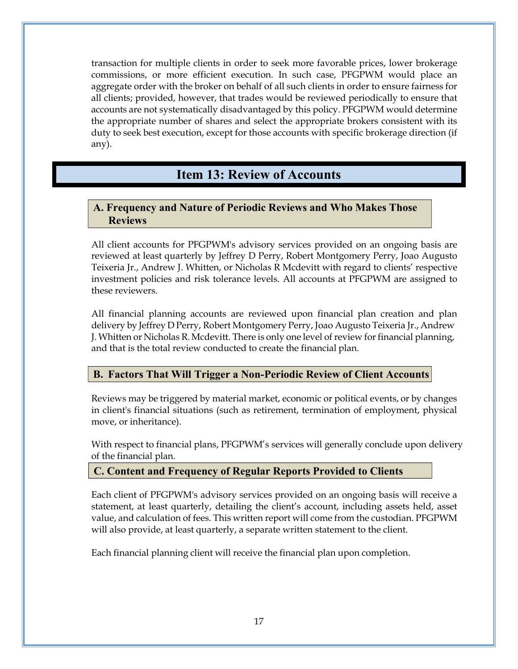transaction for multiple clients in order to seek more favorable prices, lower brokerage commissions, or more efficient execution. In such case, PFGPWM would place an aggregate order with the broker on behalf of all such clients in order to ensure fairness for all clients; provided, however, that trades would be reviewed periodically to ensure that accounts are not systematically disadvantaged by this policy. PFGPWM would determine the appropriate number of shares and select the appropriate brokers consistent with its duty to seek best execution, except for those accounts with specific brokerage direction (if any).

## **Item 13: Review of Accounts**

#### <span id="page-19-1"></span><span id="page-19-0"></span>**A. Frequency and Nature of Periodic Reviews and Who Makes Those Reviews**

All client accounts for PFGPWM's advisory services provided on an ongoing basis are reviewed at least quarterly by Jeffrey D Perry, Robert Montgomery Perry, Joao Augusto Teixeria Jr., Andrew J. Whitten, or Nicholas R Mcdevitt with regard to clients' respective investment policies and risk tolerance levels. All accounts at PFGPWM are assigned to these reviewers.

All financial planning accounts are reviewed upon financial plan creation and plan delivery by Jeffrey D Perry, Robert Montgomery Perry, Joao Augusto Teixeria Jr., Andrew J. Whitten or Nicholas R.Mcdevitt. There is only one level of review forfinancial planning, and that is the total review conducted to create the financial plan.

#### <span id="page-19-2"></span>**B. Factors That Will Trigger a Non-Periodic Review of Client Accounts**

Reviews may be triggered by material market, economic or political events, or by changes in client's financial situations (such as retirement, termination of employment, physical move, or inheritance).

With respect to financial plans, PFGPWM's services will generally conclude upon delivery of the financial plan.

#### <span id="page-19-3"></span>**C. Content and Frequency of Regular Reports Provided to Clients**

Each client of PFGPWM's advisory services provided on an ongoing basis will receive a statement, at least quarterly, detailing the client's account, including assets held, asset value, and calculation of fees. This written report will come from the custodian. PFGPWM will also provide, at least quarterly, a separate written statement to the client.

Each financial planning client will receive the financial plan upon completion.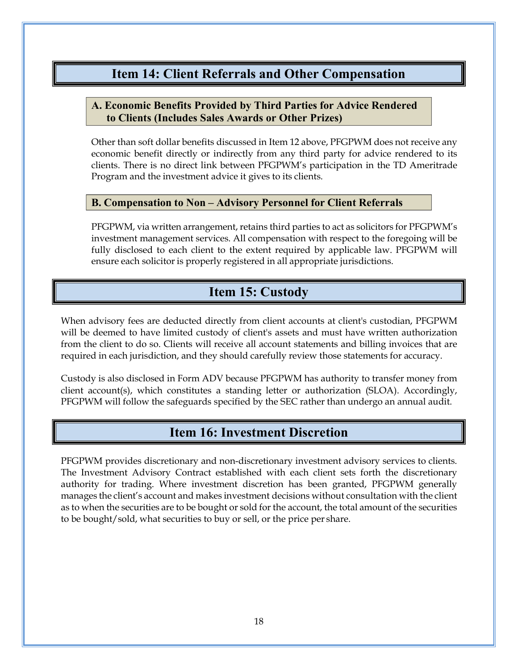### **Item 14: Client Referrals and Other Compensation**

#### <span id="page-20-1"></span><span id="page-20-0"></span>**A. Economic Benefits Provided by Third Parties for Advice Rendered to Clients (Includes Sales Awards or Other Prizes)**

Other than soft dollar benefits discussed in Item 12 above, PFGPWM does not receive any economic benefit directly or indirectly from any third party for advice rendered to its clients. There is no direct link between PFGPWM's participation in the TD Ameritrade Program and the investment advice it gives to its clients.

#### <span id="page-20-2"></span>**B. Compensation to Non – Advisory Personnel for Client Referrals**

PFGPWM, via written arrangement, retains third parties to act as solicitors for PFGPWM's investment management services. All compensation with respect to the foregoing will be fully disclosed to each client to the extent required by applicable law. PFGPWM will ensure each solicitor is properly registered in all appropriate jurisdictions.

# **Item 15: Custody**

<span id="page-20-3"></span>When advisory fees are deducted directly from client accounts at client's custodian, PFGPWM will be deemed to have limited custody of client's assets and must have written authorization from the client to do so. Clients will receive all account statements and billing invoices that are required in each jurisdiction, and they should carefully review those statements for accuracy.

Custody is also disclosed in Form ADV because PFGPWM has authority to transfer money from client account(s), which constitutes a standing letter or authorization (SLOA). Accordingly, PFGPWM will follow the safeguards specified by the SEC rather than undergo an annual audit.

### **Item 16: Investment Discretion**

<span id="page-20-4"></span>PFGPWM provides discretionary and non-discretionary investment advisory services to clients. The Investment Advisory Contract established with each client sets forth the discretionary authority for trading. Where investment discretion has been granted, PFGPWM generally manages the client's account and makes investment decisions without consultation with the client as to when the securities are to be bought or sold for the account, the total amount of the securities to be bought/sold, what securities to buy or sell, or the price per share.